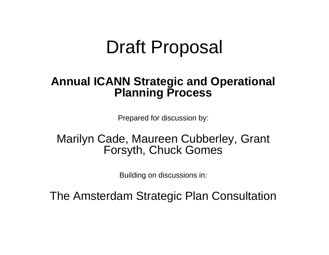#### Draft Proposal

#### **Annual ICANN Strategic and Operational Planning Process**

Prepared for discussion by:

#### Marilyn Cade, Maureen Cubberley, Grant Forsyth, Chuck Gomes

Building on discussions in:

The Amsterdam Strategic Plan Consultation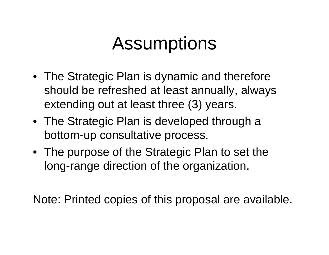## Assumptions

- The Strategic Plan is dynamic and therefore should be refreshed at least annually, always extending out at least three (3) years.
- The Strategic Plan is developed through a bottom-up consultative process.
- The purpose of the Strategic Plan to set the long-range direction of the organization.

Note: Printed copies of this proposal are available.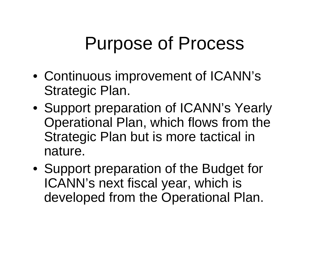## Purpose of Process

- Continuous improvement of ICANN's Strategic Plan.
- Support preparation of ICANN's Yearly Operational Plan, which flows from the Strategic Plan but is more tactical in nature.
- Support preparation of the Budget for ICANN's next fiscal year, which is developed from the Operational Plan.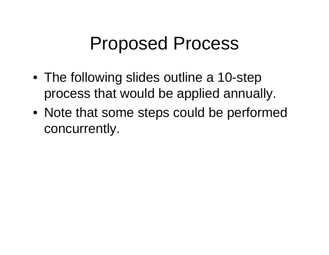## Proposed Process

- The following slides outline a 10-step process that would be applied annually.
- Note that some steps could be performed concurrently.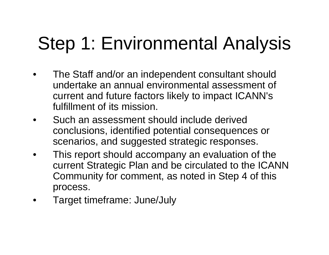# Step 1: Environmental Analysis

- • The Staff and/or an independent consultant should undertake an annual environmental assessment of current and future factors likely to impact ICANN's fulfillment of its mission.
- • Such an assessment should include derived conclusions, identified potential consequences or scenarios, and suggested strategic responses.
- • This report should accompany an evaluation of the current Strategic Plan and be circulated to the ICANN Community for comment, as noted in Step 4 of this process.
- •Target timeframe: June/July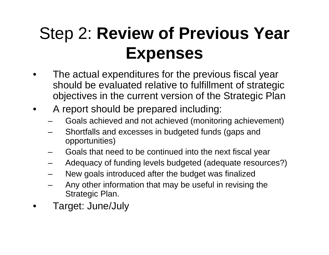## Step 2: **Review of Previous Year Expenses**

- • The actual expenditures for the previous fiscal year should be evaluated relative to fulfillment of strategic objectives in the current version of the Strategic Plan
- • A report should be prepared including:
	- Goals achieved and not achieved (monitoring achievement)
	- Shortfalls and excesses in budgeted funds (gaps and opportunities)
	- Goals that need to be continued into the next fiscal year
	- Adequacy of funding levels budgeted (adequate resources?)
	- New goals introduced after the budget was finalized
	- Any other information that may be useful in revising the Strategic Plan.
- •Target: June/July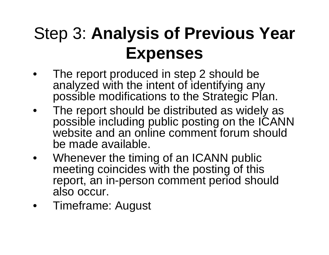### Step 3: **Analysis of Previous Year Expenses**

- • The report produced in step 2 should be analyzed with the intent of identifying any possible modifications to the Strategic Plan.
- • The report should be distributed as widely as possible including public posting on the ICANN website and an online comment forum should be made available.
- • Whenever the timing of an ICANN public meeting coincides with the posting of this report, an in-person comment period should also occur.
- •Timeframe: August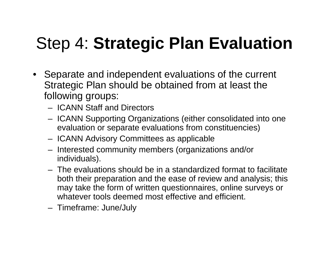## Step 4: **Strategic Plan Evaluation**

- Separate and independent evaluations of the current Strategic Plan should be obtained from at least the following groups:
	- ICANN Staff and Directors
	- ICANN Supporting Organizations (either consolidated into one evaluation or separate evaluations from constituencies)
	- ICANN Advisory Committees as applicable
	- Interested community members (organizations and/or individuals).
	- The evaluations should be in a standardized format to facilitateboth their preparation and the ease of review and analysis; this may take the form of written questionnaires, online surveys or whatever tools deemed most effective and efficient.
	- Timeframe: June/July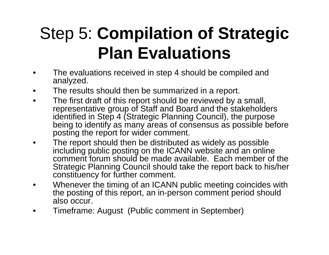## Step 5: **Compilation of Strategic Plan Evaluations**

- • The evaluations received in step 4 should be compiled and analyzed.
- •The results should then be summarized in a report.
- • The first draft of this report should be reviewed by a small, representative group of Staff and Board and the stakeholders identified in Step 4 (Strategic Planning Council), the purpose being to identify as many areas of consensus as possible before posting the report for wider comment.
- $\bullet$  The report should then be distributed as widely as possible including public posting on the ICANN website and an online comment forum should be made available. Each member of the Strategic Planning Council should take the report back to his/her constituency for further comment.
- • Whenever the timing of an ICANN public meeting coincides with the posting of this report, an in-person comment period should also occur.
- •Timeframe: August (Public comment in September)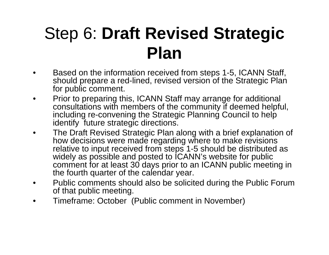### Step 6: **Draft Revised Strategic Plan**

- • Based on the information received from steps 1-5, ICANN Staff, should prepare a red-lined, revised version of the Strategic Plan for public comment.
- • Prior to preparing this, ICANN Staff may arrange for additional consultations with members of the community if deemed helpful, including re-convening the Strategic Planning Council to help identify future strategic directions.
- • The Draft Revised Strategic Plan along with a brief explanation of how decisions were made regarding where to make revisions relative to input received from steps 1-5 should be distributed as widely as possible and posted to **ICANN's** website for public comment for at least 30 days prior to an ICANN public meeting in the fourth quarter of the calendar year.
- • Public comments should also be solicited during the Public Forum of that public meeting.
- $\bullet$ Timeframe: October (Public comment in November)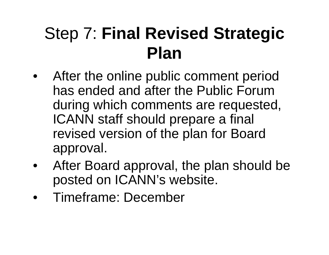### Step 7: **Final Revised Strategic Plan**

- $\bullet$  After the online public comment period has ended and after the Public Forum during which comments are requested, ICANN staff should prepare a final revised version of the plan for Board approval.
- • After Board approval, the plan should be posted on ICANN's website.
- Timeframe: December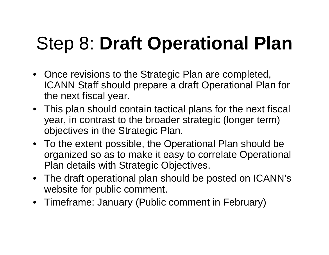# Step 8: **Draft Operational Plan**

- Once revisions to the Strategic Plan are completed, ICANN Staff should prepare a draft Operational Plan for the next fiscal year.
- This plan should contain tactical plans for the next fiscal year, in contrast to the broader strategic (longer term) objectives in the Strategic Plan.
- To the extent possible, the Operational Plan should be organized so as to make it easy to correlate Operational Plan details with Strategic Objectives.
- The draft operational plan should be posted on ICANN's website for public comment.
- Timeframe: January (Public comment in February)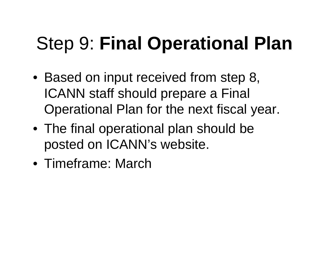# Step 9: **Final Operational Plan**

- Based on input received from step 8, ICANN staff should prepare a Final Operational Plan for the next fiscal year.
- The final operational plan should be posted on ICANN's website.
- Timeframe: March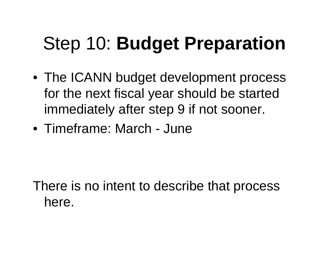# Step 10: **Budget Preparation**

- The ICANN budget development process for the next fiscal year should be started immediately after step 9 if not sooner.
- Timeframe: March June

There is no intent to describe that process here.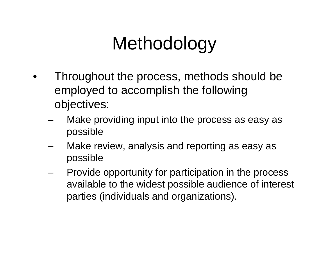## Methodology

- • Throughout the process, methods should be employed to accomplish the following objectives:
	- Make providing input into the process as easy as possible
	- – Make review, analysis and reporting as easy as possible
	- Provide opportunity for participation in the process available to the widest possible audience of interest parties (individuals and organizations).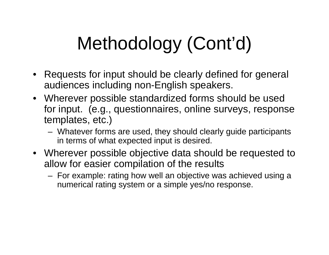# Methodology (Cont'd)

- Requests for input should be clearly defined for general audiences including non-English speakers.
- Wherever possible standardized forms should be used for input. (e.g., questionnaires, online surveys, response templates, etc.)
	- Whatever forms are used, they should clearly guide participants in terms of what expected input is desired.
- Wherever possible objective data should be requested to allow for easier compilation of the results
	- For example: rating how well an objective was achieved using a numerical rating system or a simple yes/no response.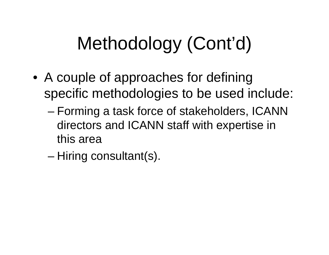# Methodology (Cont'd)

- A couple of approaches for defining specific methodologies to be used include:
	- – Forming a task force of stakeholders, ICANN directors and ICANN staff with expertise in this area
	- –Hiring consultant(s).